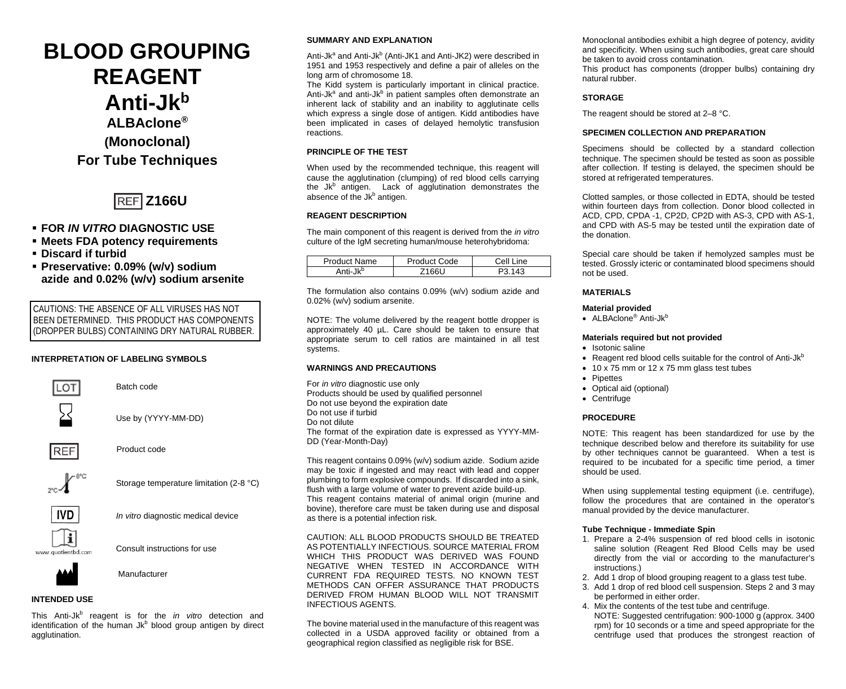# **BLOOD GROUPING REAGENT Anti-Jkb ALBAclone® (Monoclonal) For Tube Techniques**



# **FOR** *IN VITRO* **DIAGNOSTIC USE**

- **Meets FDA potency requirements**
- **Discard if turbid**
- **Preservative: 0.09% (w/v) sodium azide and 0.02% (w/v) sodium arsenite**

CAUTIONS: THE ABSENCE OF ALL VIRUSES HAS NOT BEEN DETERMINED. THIS PRODUCT HAS COMPONENTS (DROPPER BULBS) CONTAINING DRY NATURAL RUBBER.

## **INTERPRETATION OF LABELING SYMBOLS**



Batch code



Use by (YYYY-MM-DD)



Product code



Storage temperature limitation (2-8 °C)



*In vitro* diagnostic medical device

Consult instructions for use



**Manufacturer** 

## **INTENDED USE**

This Anti-Jkb reagent is for the *in vitro* detection and identification of the human Jkb blood group antigen by direct agglutination.

## **SUMMARY AND EXPLANATION**

Anti-Jk<sup>a</sup> and Anti-Jk<sup>b</sup> (Anti-JK1 and Anti-JK2) were described in 1951 and 1953 respectively and define a pair of alleles on the long arm of chromosome 18.

The Kidd system is particularly important in clinical practice. Anti-Jk<sup>a</sup> and anti-Jk<sup>b</sup> in patient samples often demonstrate an inherent lack of stability and an inability to agglutinate cells which express a single dose of antigen. Kidd antibodies have been implicated in cases of delayed hemolytic transfusion reactions.

## **PRINCIPLE OF THE TEST**

When used by the recommended technique, this reagent will cause the agglutination (clumping) of red blood cells carrying the Jk<sup>b</sup> antigen. Lack of agglutination demonstrates the absence of the Jkb antigen.

## **REAGENT DESCRIPTION**

The main component of this reagent is derived from the *in vitro* culture of the IgM secreting human/mouse heterohybridoma:

| Product Name         | Product Code | Cell Line |
|----------------------|--------------|-----------|
| Anti-Jk <sup>b</sup> | 71661        | 113       |

The formulation also contains 0.09% (w/v) sodium azide and 0.02% (w/v) sodium arsenite.

NOTE: The volume delivered by the reagent bottle dropper is approximately 40 µL. Care should be taken to ensure that appropriate serum to cell ratios are maintained in all test systems.

#### **WARNINGS AND PRECAUTIONS**

For *in vitro* diagnostic use only Products should be used by qualified personnel Do not use beyond the expiration date Do not use if turbid Do not dilute The format of the expiration date is expressed as YYYY-MM-DD (Year-Month-Day)

This reagent contains 0.09% (w/v) sodium azide. Sodium azide may be toxic if ingested and may react with lead and copper plumbing to form explosive compounds. If discarded into a sink, flush with a large volume of water to prevent azide build-up. This reagent contains material of animal origin (murine and bovine), therefore care must be taken during use and disposal as there is a potential infection risk.

CAUTION: ALL BLOOD PRODUCTS SHOULD BE TREATED AS POTENTIALLY INFECTIOUS. SOURCE MATERIAL FROM WHICH THIS PRODUCT WAS DERIVED WAS FOUND NEGATIVE WHEN TESTED IN ACCORDANCE WITH CURRENT FDA REQUIRED TESTS. NO KNOWN TEST METHODS CAN OFFER ASSURANCE THAT PRODUCTS DERIVED FROM HUMAN BLOOD WILL NOT TRANSMIT INFECTIOUS AGENTS.

The bovine material used in the manufacture of this reagent was collected in a USDA approved facility or obtained from a geographical region classified as negligible risk for BSE.

Monoclonal antibodies exhibit a high degree of potency, avidity and specificity. When using such antibodies, great care should be taken to avoid cross contamination*.*

This product has components (dropper bulbs) containing dry natural rubber.

# **STORAGE**

The reagent should be stored at 2–8 °C.

#### **SPECIMEN COLLECTION AND PREPARATION**

Specimens should be collected by a standard collection technique. The specimen should be tested as soon as possible after collection. If testing is delayed, the specimen should be stored at refrigerated temperatures.

Clotted samples, or those collected in EDTA, should be tested within fourteen days from collection. Donor blood collected in ACD, CPD, CPDA -1, CP2D, CP2D with AS-3, CPD with AS-1, and CPD with AS-5 may be tested until the expiration date of the donation.

Special care should be taken if hemolyzed samples must be tested. Grossly icteric or contaminated blood specimens should not be used.

# **MATERIALS**

## **Material provided**

• ALBAclone<sup>®</sup> Anti-Jk<sup>b</sup>

#### **Materials required but not provided**

- Isotonic saline
- Reagent red blood cells suitable for the control of Anti-Jkb
- 10 x 75 mm or 12 x 75 mm glass test tubes
- Pipettes
- Optical aid (optional)
- Centrifuge

## **PROCEDURE**

NOTE: This reagent has been standardized for use by the technique described below and therefore its suitability for use by other techniques cannot be guaranteed. When a test is required to be incubated for a specific time period, a timer should be used.

When using supplemental testing equipment (i.e. centrifuge), follow the procedures that are contained in the operator's manual provided by the device manufacturer.

## **Tube Technique - Immediate Spin**

- 1. Prepare a 2-4% suspension of red blood cells in isotonic saline solution (Reagent Red Blood Cells may be used directly from the vial or according to the manufacturer's instructions.)
- 2. Add 1 drop of blood grouping reagent to a glass test tube.
- 3. Add 1 drop of red blood cell suspension. Steps 2 and 3 may be performed in either order.
- 4. Mix the contents of the test tube and centrifuge. NOTE: Suggested centrifugation: 900-1000 g (approx. 3400 rpm) for 10 seconds or a time and speed appropriate for the centrifuge used that produces the strongest reaction of